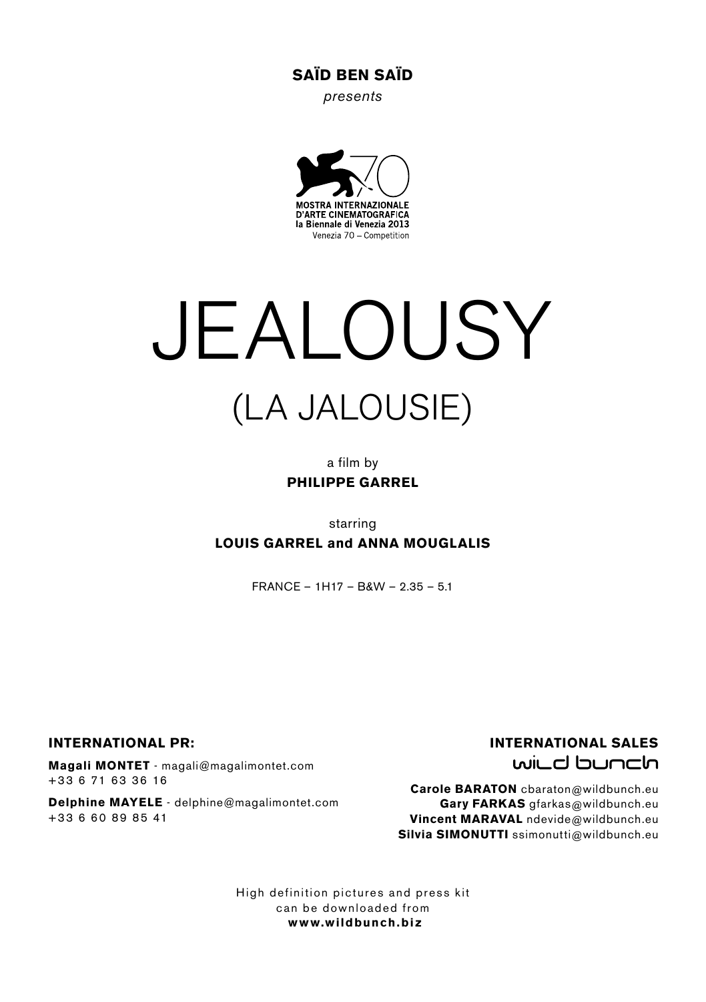### SAÏD BEN SAÏD

*presents*



# JEALOUSY (LA JALOUSIE)

a film by PHILIPPE GARREL

starring LOUIS GARREL and ANNA MOUGLALIS

 $FRANCE = 1H17 - RkW - 2.35 - 5.1$ 

INTERNATIONAL PR:

Magali MONTET - magali@magalimontet.com +33 6 71 63 36 16

Delphine MAYELE - delphine@magalimontet.com +33 6 60 89 85 41

#### INTERNATIONAL SALES wild bunch

Carole BARATON cbaraton@wildbunch.eu Gary FARKAS gfarkas@wildbunch.eu Vincent MARAVAL ndevide@wildbunch.eu Silvia SIMONUTTI ssimonutti@wildbunch.eu

High definition pictures and press kit can be downloaded from www.wildbunch.biz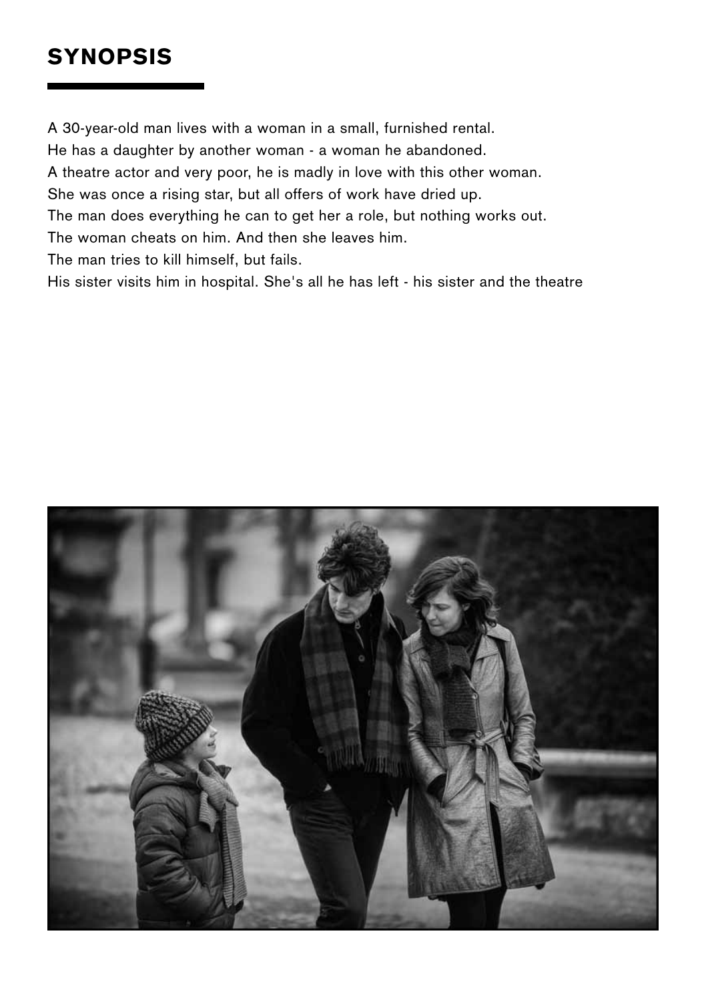# **SYNOPSIS**

A 30-year-old man lives with a woman in a small, furnished rental. He has a daughter by another woman - a woman he abandoned. A theatre actor and very poor, he is madly in love with this other woman. She was once a rising star, but all offers of work have dried up. The man does everything he can to get her a role, but nothing works out. The woman cheats on him. And then she leaves him. The man tries to kill himself, but fails. His sister visits him in hospital. She's all he has left - his sister and the theatre

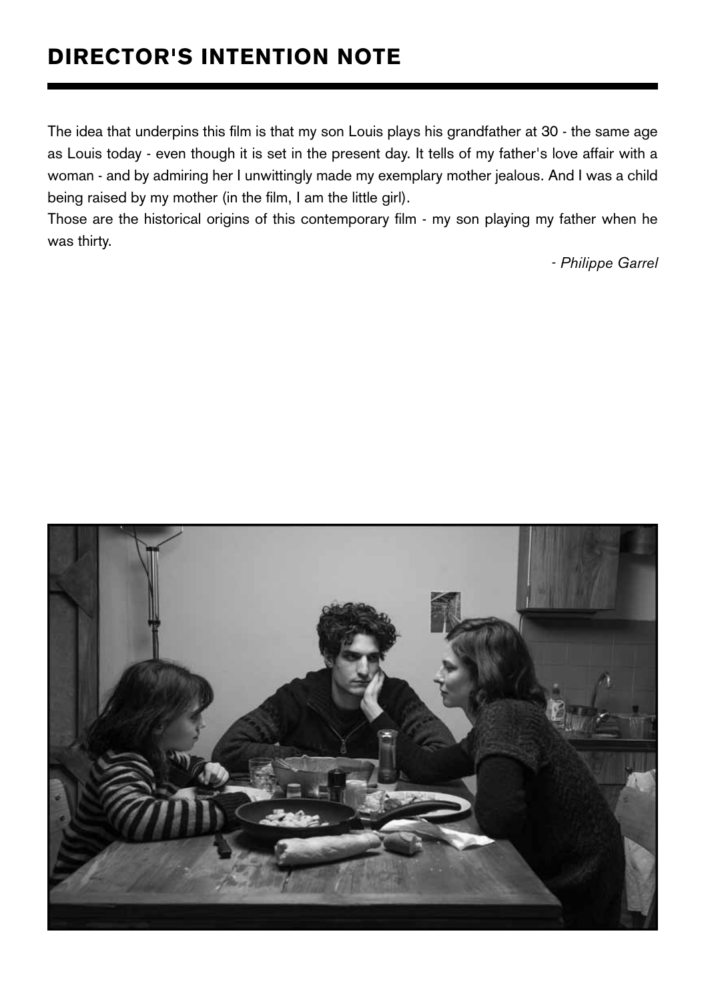# director's INTENTION NOTE

The idea that underpins this film is that my son Louis plays his grandfather at 30 - the same age as Louis today - even though it is set in the present day. It tells of my father's love affair with a woman - and by admiring her I unwittingly made my exemplary mother jealous. And I was a child being raised by my mother (in the film, I am the little girl).

Those are the historical origins of this contemporary film - my son playing my father when he was thirty.

 *- Philippe Garrel*

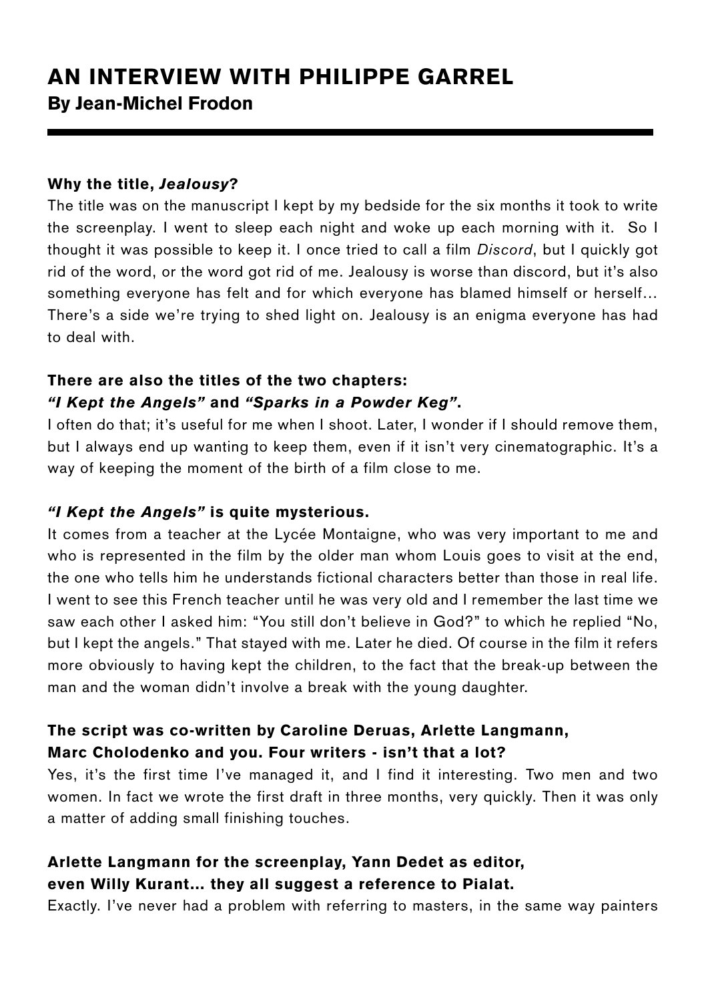# AN INTERVIEW WITH PHILIPPE GARREL By Jean-Michel Frodon

#### Why the title, *Jealousy*?

The title was on the manuscript I kept by my bedside for the six months it took to write the screenplay. I went to sleep each night and woke up each morning with it. So I thought it was possible to keep it. I once tried to call a film *Discord*, but I quickly got rid of the word, or the word got rid of me. Jealousy is worse than discord, but it's also something everyone has felt and for which everyone has blamed himself or herself… There's a side we're trying to shed light on. Jealousy is an enigma everyone has had to deal with.

## There are also the titles of the two chapters: *"I Kept the Angels"* and *"Sparks in a Powder Keg"*.

I often do that; it's useful for me when I shoot. Later, I wonder if I should remove them, but I always end up wanting to keep them, even if it isn't very cinematographic. It's a way of keeping the moment of the birth of a film close to me.

#### *"I Kept the Angels"* is quite mysterious.

It comes from a teacher at the Lycée Montaigne, who was very important to me and who is represented in the film by the older man whom Louis goes to visit at the end, the one who tells him he understands fictional characters better than those in real life. I went to see this French teacher until he was very old and I remember the last time we saw each other I asked him: "You still don't believe in God?" to which he replied "No, but I kept the angels." That stayed with me. Later he died. Of course in the film it refers more obviously to having kept the children, to the fact that the break-up between the man and the woman didn't involve a break with the young daughter.

# The script was co-written by Caroline Deruas, Arlette Langmann, Marc Cholodenko and you. Four writers - isn't that a lot?

Yes, it's the first time I've managed it, and I find it interesting. Two men and two women. In fact we wrote the first draft in three months, very quickly. Then it was only a matter of adding small finishing touches.

# Arlette Langmann for the screenplay, Yann Dedet as editor, even Willy Kurant… they all suggest a reference to Pialat.

Exactly. I've never had a problem with referring to masters, in the same way painters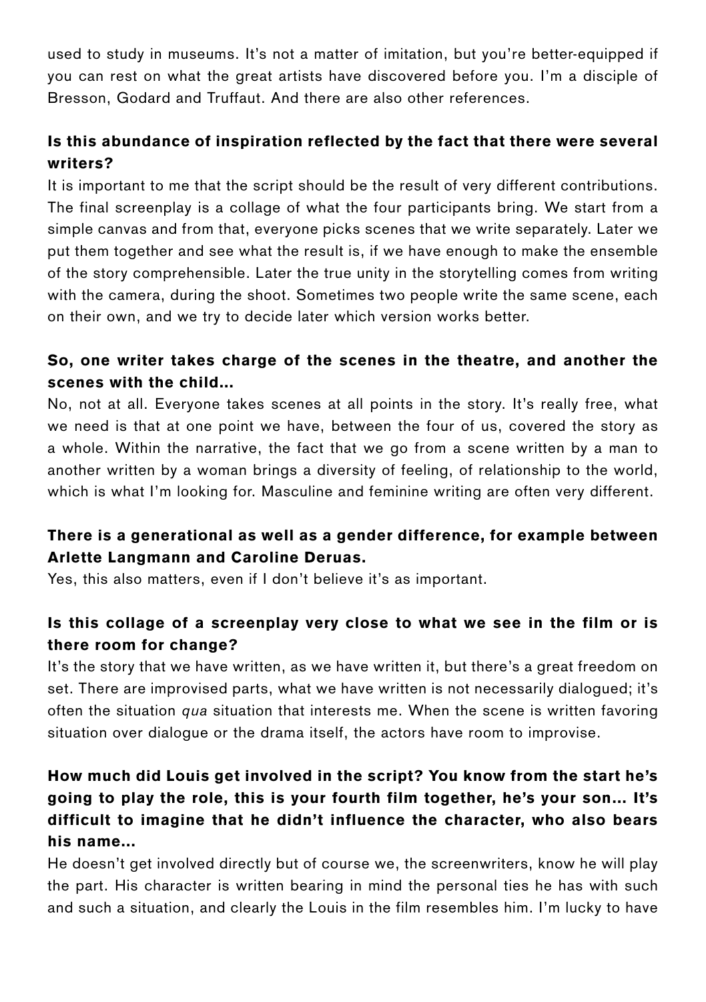used to study in museums. It's not a matter of imitation, but you're better-equipped if you can rest on what the great artists have discovered before you. I'm a disciple of Bresson, Godard and Truffaut. And there are also other references.

# Is this abundance of inspiration reflected by the fact that there were several writers?

It is important to me that the script should be the result of very different contributions. The final screenplay is a collage of what the four participants bring. We start from a simple canvas and from that, everyone picks scenes that we write separately. Later we put them together and see what the result is, if we have enough to make the ensemble of the story comprehensible. Later the true unity in the storytelling comes from writing with the camera, during the shoot. Sometimes two people write the same scene, each on their own, and we try to decide later which version works better.

## So, one writer takes charge of the scenes in the theatre, and another the scenes with the child...

No, not at all. Everyone takes scenes at all points in the story. It's really free, what we need is that at one point we have, between the four of us, covered the story as a whole. Within the narrative, the fact that we go from a scene written by a man to another written by a woman brings a diversity of feeling, of relationship to the world, which is what I'm looking for. Masculine and feminine writing are often very different.

# There is a generational as well as a gender difference, for example between Arlette Langmann and Caroline Deruas.

Yes, this also matters, even if I don't believe it's as important.

# Is this collage of a screenplay very close to what we see in the film or is there room for change?

It's the story that we have written, as we have written it, but there's a great freedom on set. There are improvised parts, what we have written is not necessarily dialogued; it's often the situation *qua* situation that interests me. When the scene is written favoring situation over dialogue or the drama itself, the actors have room to improvise.

# How much did Louis get involved in the script? You know from the start he's going to play the role, this is your fourth film together, he's your son… It's difficult to imagine that he didn't influence the character, who also bears his name...

He doesn't get involved directly but of course we, the screenwriters, know he will play the part. His character is written bearing in mind the personal ties he has with such and such a situation, and clearly the Louis in the film resembles him. I'm lucky to have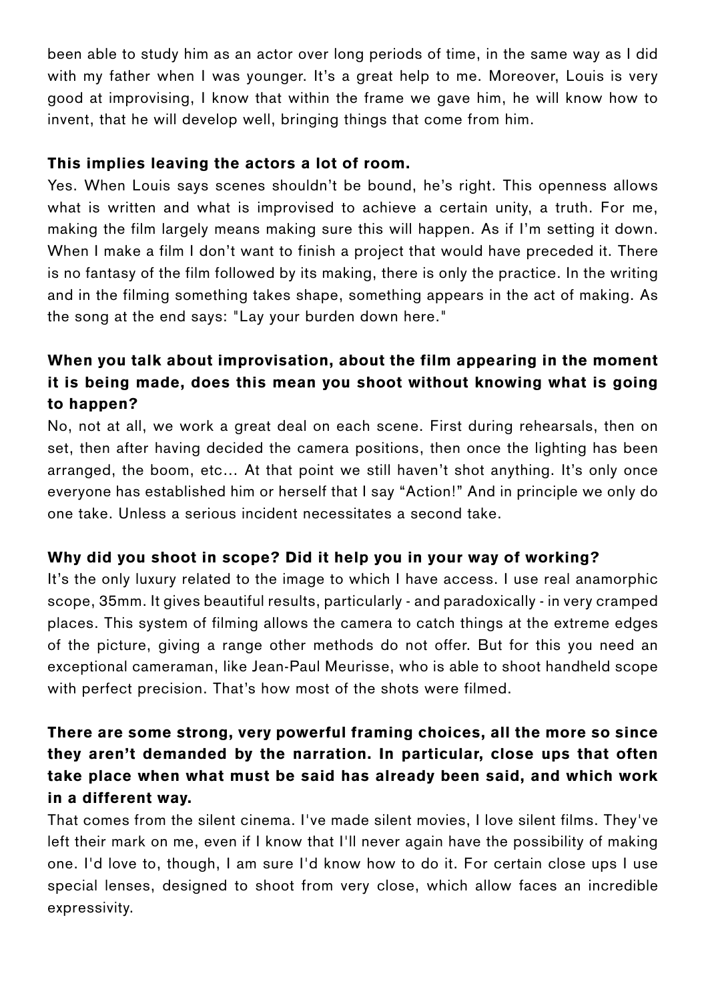been able to study him as an actor over long periods of time, in the same way as I did with my father when I was younger. It's a great help to me. Moreover, Louis is very good at improvising, I know that within the frame we gave him, he will know how to invent, that he will develop well, bringing things that come from him.

#### This implies leaving the actors a lot of room.

Yes. When Louis says scenes shouldn't be bound, he's right. This openness allows what is written and what is improvised to achieve a certain unity, a truth. For me, making the film largely means making sure this will happen. As if I'm setting it down. When I make a film I don't want to finish a project that would have preceded it. There is no fantasy of the film followed by its making, there is only the practice. In the writing and in the filming something takes shape, something appears in the act of making. As the song at the end says: "Lay your burden down here."

# When you talk about improvisation, about the film appearing in the moment it is being made, does this mean you shoot without knowing what is going to happen?

No, not at all, we work a great deal on each scene. First during rehearsals, then on set, then after having decided the camera positions, then once the lighting has been arranged, the boom, etc… At that point we still haven't shot anything. It's only once everyone has established him or herself that I say "Action!" And in principle we only do one take. Unless a serious incident necessitates a second take.

#### Why did you shoot in scope? Did it help you in your way of working?

It's the only luxury related to the image to which I have access. I use real anamorphic scope, 35mm. It gives beautiful results, particularly - and paradoxically - in very cramped places. This system of filming allows the camera to catch things at the extreme edges of the picture, giving a range other methods do not offer. But for this you need an exceptional cameraman, like Jean-Paul Meurisse, who is able to shoot handheld scope with perfect precision. That's how most of the shots were filmed.

# There are some strong, very powerful framing choices, all the more so since they aren't demanded by the narration. In particular, close ups that often take place when what must be said has already been said, and which work in a different way.

That comes from the silent cinema. I've made silent movies, I love silent films. They've left their mark on me, even if I know that I'll never again have the possibility of making one. I'd love to, though, I am sure I'd know how to do it. For certain close ups I use special lenses, designed to shoot from very close, which allow faces an incredible expressivity.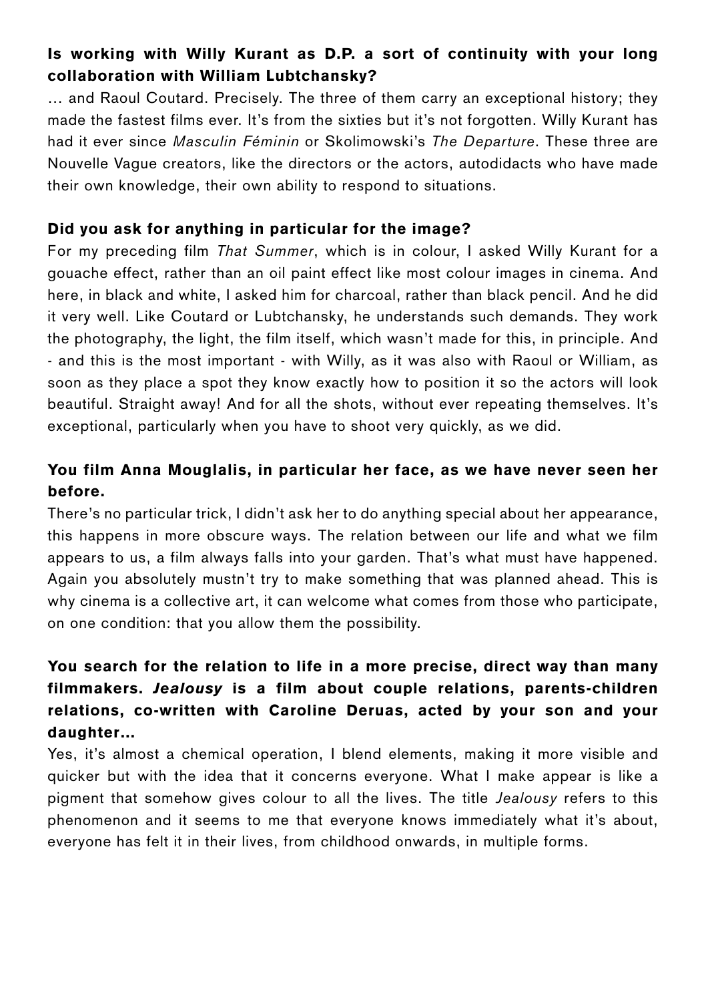# Is working with Willy Kurant as D.P. a sort of continuity with your long collaboration with William Lubtchansky?

… and Raoul Coutard. Precisely. The three of them carry an exceptional history; they made the fastest films ever. It's from the sixties but it's not forgotten. Willy Kurant has had it ever since *Masculin Féminin* or Skolimowski's *The Departure*. These three are Nouvelle Vague creators, like the directors or the actors, autodidacts who have made their own knowledge, their own ability to respond to situations.

#### Did you ask for anything in particular for the image?

For my preceding film *That Summer*, which is in colour, I asked Willy Kurant for a gouache effect, rather than an oil paint effect like most colour images in cinema. And here, in black and white, I asked him for charcoal, rather than black pencil. And he did it very well. Like Coutard or Lubtchansky, he understands such demands. They work the photography, the light, the film itself, which wasn't made for this, in principle. And - and this is the most important - with Willy, as it was also with Raoul or William, as soon as they place a spot they know exactly how to position it so the actors will look beautiful. Straight away! And for all the shots, without ever repeating themselves. It's exceptional, particularly when you have to shoot very quickly, as we did.

# You film Anna Mouglalis, in particular her face, as we have never seen her before.

There's no particular trick, I didn't ask her to do anything special about her appearance, this happens in more obscure ways. The relation between our life and what we film appears to us, a film always falls into your garden. That's what must have happened. Again you absolutely mustn't try to make something that was planned ahead. This is why cinema is a collective art, it can welcome what comes from those who participate, on one condition: that you allow them the possibility.

# You search for the relation to life in a more precise, direct way than many filmmakers. *Jealousy* is a film about couple relations, parents-children relations, co-written with Caroline Deruas, acted by your son and your daughter…

Yes, it's almost a chemical operation, I blend elements, making it more visible and quicker but with the idea that it concerns everyone. What I make appear is like a pigment that somehow gives colour to all the lives. The title *Jealousy* refers to this phenomenon and it seems to me that everyone knows immediately what it's about, everyone has felt it in their lives, from childhood onwards, in multiple forms.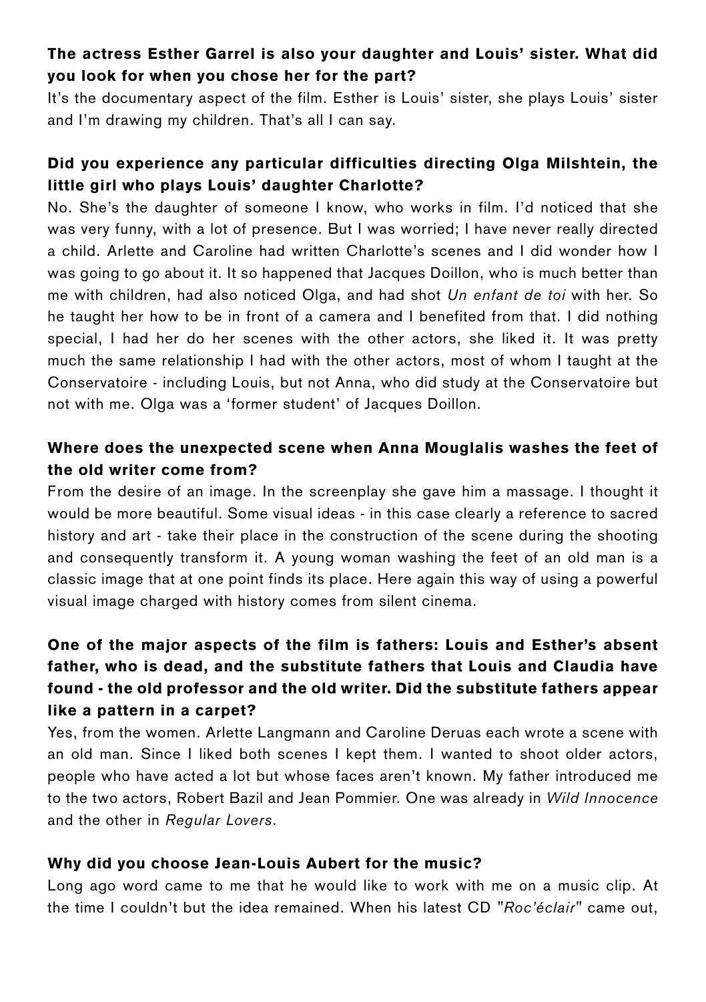## The actress Esther Garrel is also your daughter and Louis' sister. What did you look for when you chose her for the part?

It's the documentary aspect of the film. Esther is Louis' sister, she plays Louis' sister and I'm drawing my children. That's all I can say.

## Did you experience any particular difficulties directing Olga Milshtein, the little girl who plays Louis' daughter Charlotte?

No. She's the daughter of someone I know, who works in film. I'd noticed that she was very funny, with a lot of presence. But I was worried; I have never really directed a child. Arlette and Caroline had written Charlotte's scenes and I did wonder how I was going to go about it. It so happened that Jacques Doillon, who is much better than me with children, had also noticed Olga, and had shot *Un enfant de toi* with her. So he taught her how to be in front of a camera and I benefited from that. I did nothing special, I had her do her scenes with the other actors, she liked it. It was pretty much the same relationship I had with the other actors, most of whom I taught at the Conservatoire - including Louis, but not Anna, who did study at the Conservatoire but not with me. Olga was a 'former student' of Jacques Doillon.

## Where does the unexpected scene when Anna Mouglalis washes the feet of the old writer come from?

From the desire of an image. In the screenplay she gave him a massage. I thought it would be more beautiful. Some visual ideas - in this case clearly a reference to sacred history and art - take their place in the construction of the scene during the shooting and consequently transform it. A young woman washing the feet of an old man is a classic image that at one point finds its place. Here again this way of using a powerful visual image charged with history comes from silent cinema.

# One of the major aspects of the film is fathers: Louis and Esther's absent father, who is dead, and the substitute fathers that Louis and Claudia have found - the old professor and the old writer. Did the substitute fathers appear like a pattern in a carpet?

Yes, from the women. Arlette Langmann and Caroline Deruas each wrote a scene with an old man. Since I liked both scenes I kept them. I wanted to shoot older actors, people who have acted a lot but whose faces aren't known. My father introduced me to the two actors, Robert Bazil and Jean Pommier. One was already in *Wild Innocence* and the other in *Regular Lovers*.

#### Why did you choose Jean-Louis Aubert for the music?

Long ago word came to me that he would like to work with me on a music clip. At the time I couldn't but the idea remained. When his latest CD *"Roc'éclair"* came out,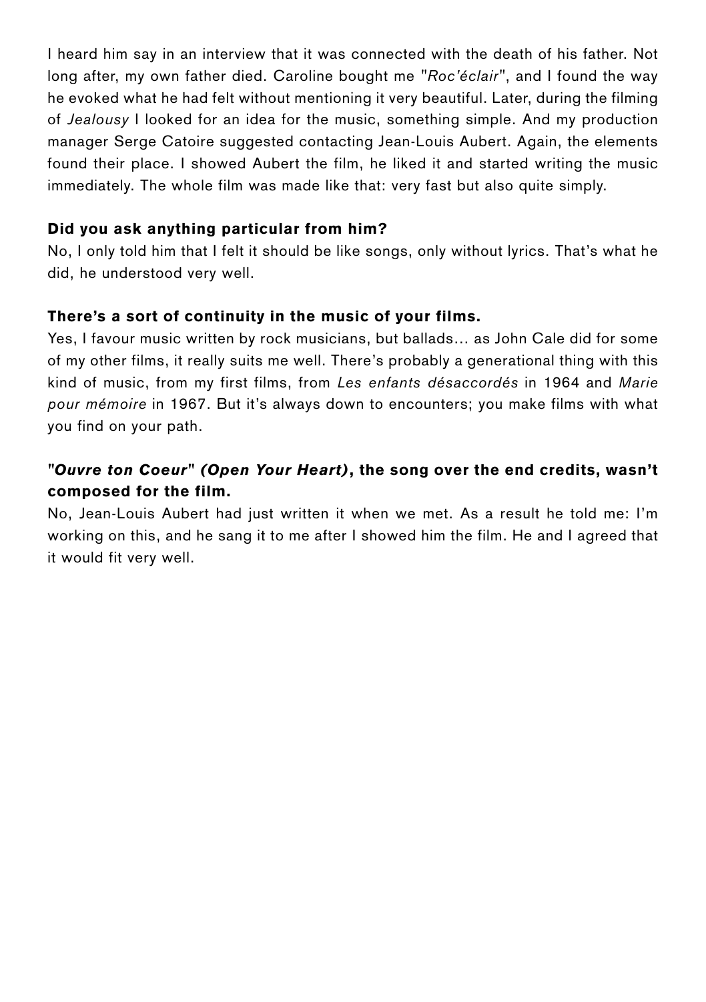I heard him say in an interview that it was connected with the death of his father. Not long after, my own father died. Caroline bought me *"Roc'éclair"*, and I found the way he evoked what he had felt without mentioning it very beautiful. Later, during the filming of *Jealousy* I looked for an idea for the music, something simple. And my production manager Serge Catoire suggested contacting Jean-Louis Aubert. Again, the elements found their place. I showed Aubert the film, he liked it and started writing the music immediately. The whole film was made like that: very fast but also quite simply.

#### Did you ask anything particular from him?

No, I only told him that I felt it should be like songs, only without lyrics. That's what he did, he understood very well.

#### There's a sort of continuity in the music of your films.

Yes, I favour music written by rock musicians, but ballads… as John Cale did for some of my other films, it really suits me well. There's probably a generational thing with this kind of music, from my first films, from *Les enfants désaccordés* in 1964 and *Marie pour mémoire* in 1967. But it's always down to encounters; you make films with what you find on your path.

# *"Ouvre ton Coeur" (Open Your Heart)*, the song over the end credits, wasn't composed for the film.

No, Jean-Louis Aubert had just written it when we met. As a result he told me: I'm working on this, and he sang it to me after I showed him the film. He and I agreed that it would fit very well.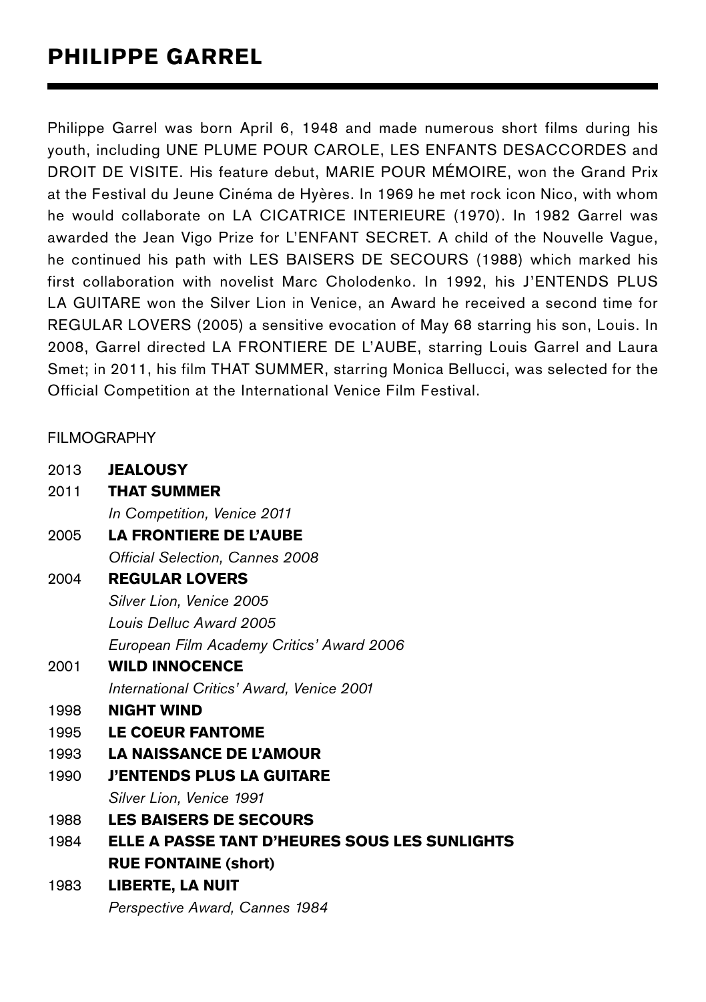Philippe Garrel was born April 6, 1948 and made numerous short films during his youth, including UNE PLUME POUR CAROLE, LES ENFANTS DESACCORDES and DROIT DE VISITE. His feature debut, MARIE POUR MÉMOIRE, won the Grand Prix at the Festival du Jeune Cinéma de Hyères. In 1969 he met rock icon Nico, with whom he would collaborate on LA CICATRICE INTERIEURE (1970). In 1982 Garrel was awarded the Jean Vigo Prize for L'ENFANT SECRET. A child of the Nouvelle Vague, he continued his path with LES BAISERS DE SECOURS (1988) which marked his first collaboration with novelist Marc Cholodenko. In 1992, his J'ENTENDS PLUS LA GUITARE won the Silver Lion in Venice, an Award he received a second time for REGULAR LOVERS (2005) a sensitive evocation of May 68 starring his son, Louis. In 2008, Garrel directed LA FRONTIERE DE L'AUBE, starring Louis Garrel and Laura Smet; in 2011, his film THAT SUMMER, starring Monica Bellucci, was selected for the Official Competition at the International Venice Film Festival.

#### FILMOGRAPHY

| 2013 | <b>JEALOUSY</b>                               |
|------|-----------------------------------------------|
| 2011 | <b>THAT SUMMER</b>                            |
|      | In Competition, Venice 2011                   |
| 2005 | <b>LA FRONTIERE DE L'AUBE</b>                 |
|      | Official Selection, Cannes 2008               |
| 2004 | <b>REGULAR LOVERS</b>                         |
|      | Silver Lion, Venice 2005                      |
|      | Louis Delluc Award 2005                       |
|      | European Film Academy Critics' Award 2006     |
| 2001 | <b>WILD INNOCENCE</b>                         |
|      | International Critics' Award, Venice 2001     |
| 1998 | <b>NIGHT WIND</b>                             |
| 1995 | <b>LE COEUR FANTOME</b>                       |
| 1993 | <b>LA NAISSANCE DE L'AMOUR</b>                |
| 1990 | <b>J'ENTENDS PLUS LA GUITARE</b>              |
|      | Silver Lion, Venice 1991                      |
| 1988 | <b>LES BAISERS DE SECOURS</b>                 |
| 1984 | ELLE A PASSE TANT D'HEURES SOUS LES SUNLIGHTS |
|      | <b>RUE FONTAINE (short)</b>                   |
| 1983 | LIBERTE, LA NUIT                              |
|      | Perspective Award, Cannes 1984                |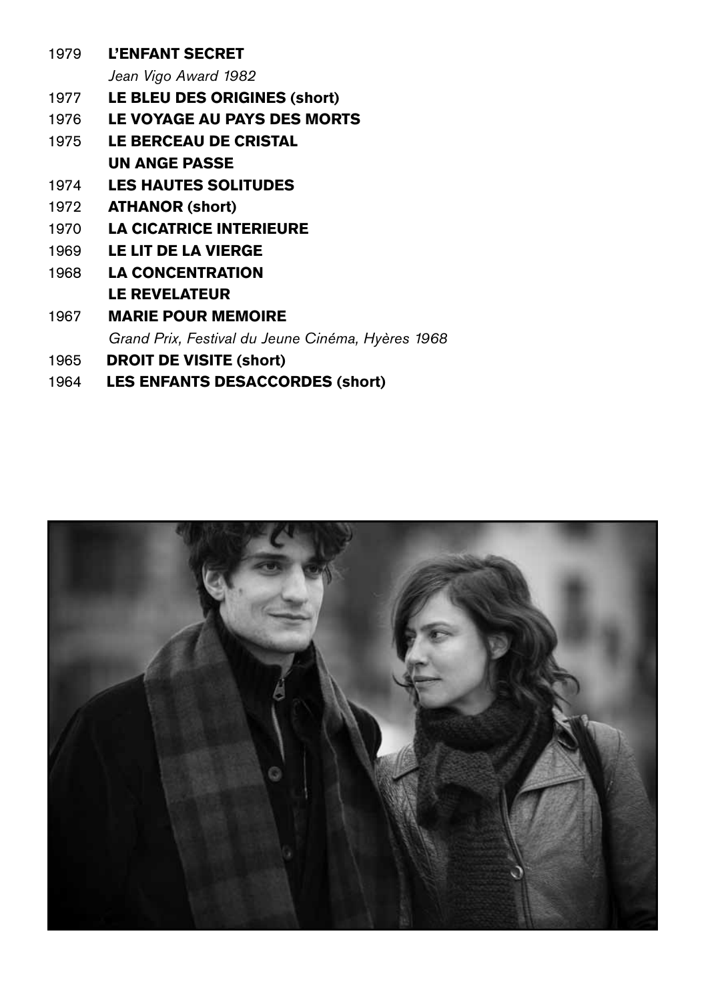| <b>L'ENFANT SECRET</b>                            |
|---------------------------------------------------|
| Jean Vigo Award 1982                              |
| LE BLEU DES ORIGINES (short)                      |
| LE VOYAGE AU PAYS DES MORTS                       |
| <b>LE BERCEAU DE CRISTAL</b>                      |
| UN ANGE PASSE                                     |
| <b>LES HAUTES SOLITUDES</b>                       |
| <b>ATHANOR (short)</b>                            |
| <b>LA CICATRICE INTERIEURE</b>                    |
| LE LIT DE LA VIERGE                               |
| <b>LA CONCENTRATION</b>                           |
| <b>LE REVELATEUR</b>                              |
| <b>MARIE POUR MEMOIRE</b>                         |
| Grand Prix, Festival du Jeune Cinéma, Hyères 1968 |
| <b>DROIT DE VISITE (short)</b>                    |
|                                                   |

LES ENFANTS DESACCORDES (short)

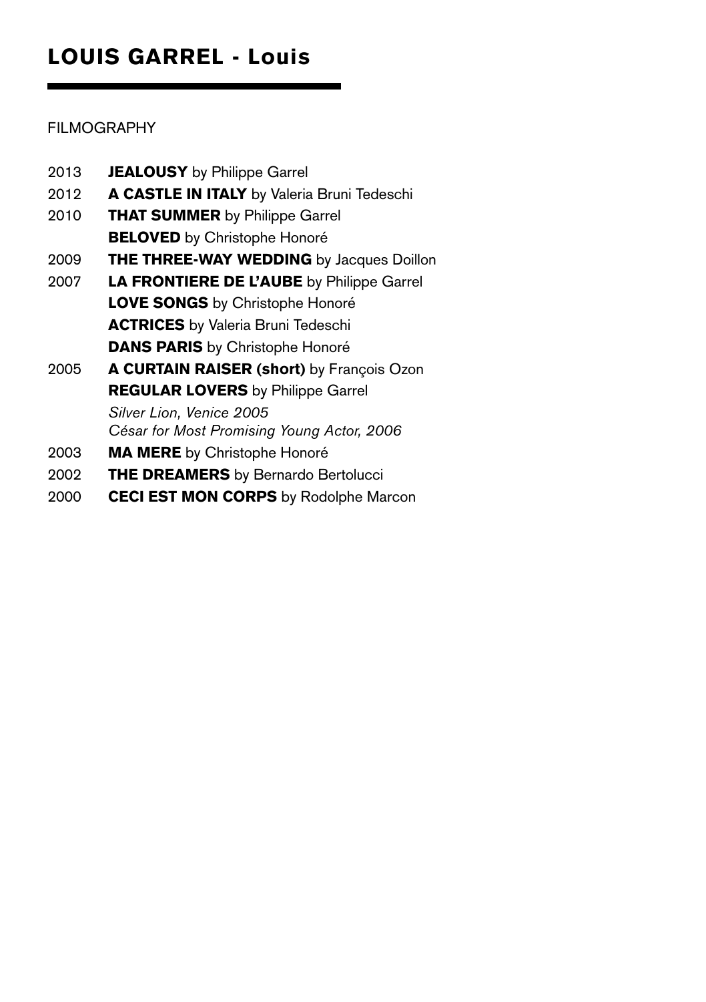# LOUIS GARREL - Louis

# FILMOGRAPHY

| 2013 | <b>JEALOUSY</b> by Philippe Garrel               |
|------|--------------------------------------------------|
| 2012 | A CASTLE IN ITALY by Valeria Bruni Tedeschi      |
| 2010 | <b>THAT SUMMER</b> by Philippe Garrel            |
|      | <b>BELOVED</b> by Christophe Honoré              |
| 2009 | THE THREE-WAY WEDDING by Jacques Doillon         |
| 2007 | <b>LA FRONTIERE DE L'AUBE</b> by Philippe Garrel |
|      | LOVE SONGS by Christophe Honoré                  |
|      | <b>ACTRICES</b> by Valeria Bruni Tedeschi        |
|      | <b>DANS PARIS</b> by Christophe Honoré           |
| 2005 | A CURTAIN RAISER (short) by François Ozon        |
|      | <b>REGULAR LOVERS</b> by Philippe Garrel         |
|      | Silver Lion, Venice 2005                         |
|      | César for Most Promising Young Actor, 2006       |
| 2003 | MA MERE by Christophe Honoré                     |
| 2002 | <b>THE DREAMERS</b> by Bernardo Bertolucci       |

2000 CECI EST MON CORPS by Rodolphe Marcon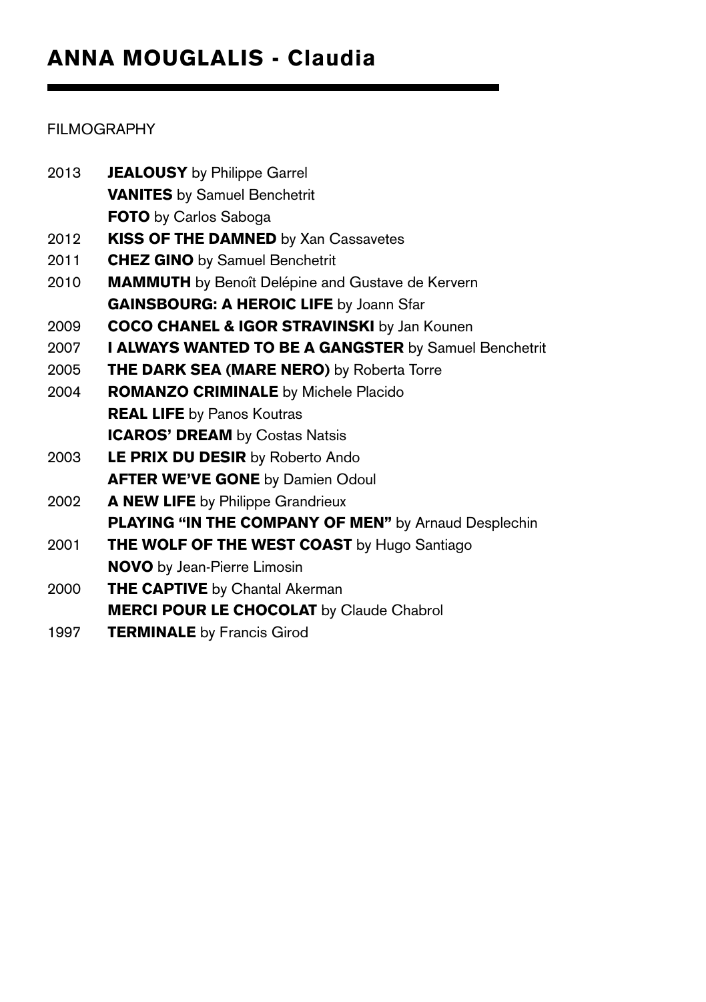## FILMOGRAPHY

| 2013 | <b>JEALOUSY</b> by Philippe Garrel                       |
|------|----------------------------------------------------------|
|      | <b>VANITES</b> by Samuel Benchetrit                      |
|      | <b>FOTO</b> by Carlos Saboga                             |
| 2012 | KISS OF THE DAMNED by Xan Cassavetes                     |
| 2011 | <b>CHEZ GINO</b> by Samuel Benchetrit                    |
| 2010 | <b>MAMMUTH</b> by Benoît Delépine and Gustave de Kervern |
|      | <b>GAINSBOURG: A HEROIC LIFE by Joann Sfar</b>           |
| 2009 | <b>COCO CHANEL &amp; IGOR STRAVINSKI</b> by Jan Kounen   |
| 2007 | I ALWAYS WANTED TO BE A GANGSTER by Samuel Benchetrit    |
| 2005 | <b>THE DARK SEA (MARE NERO)</b> by Roberta Torre         |
| 2004 | <b>ROMANZO CRIMINALE</b> by Michele Placido              |
|      | <b>REAL LIFE</b> by Panos Koutras                        |
|      | <b>ICAROS' DREAM</b> by Costas Natsis                    |
| 2003 | LE PRIX DU DESIR by Roberto Ando                         |
|      | <b>AFTER WE'VE GONE by Damien Odoul</b>                  |
| 2002 | A NEW LIFE by Philippe Grandrieux                        |
|      | PLAYING "IN THE COMPANY OF MEN" by Arnaud Desplechin     |
| 2001 | <b>THE WOLF OF THE WEST COAST</b> by Hugo Santiago       |
|      | <b>NOVO</b> by Jean-Pierre Limosin                       |
| 2000 | <b>THE CAPTIVE</b> by Chantal Akerman                    |
|      | <b>MERCI POUR LE CHOCOLAT</b> by Claude Chabrol          |
| 1997 | <b>TERMINALE</b> by Francis Girod                        |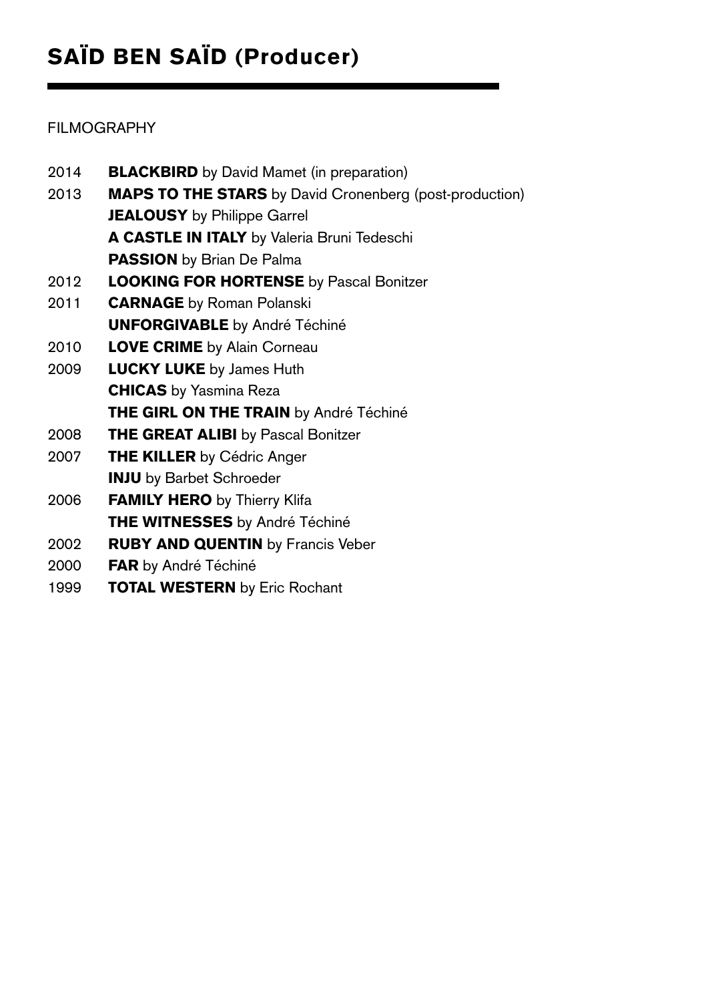# SAÏD BEN SAÏD (Producer)

# FILMOGRAPHY

| 2014 | <b>BLACKBIRD</b> by David Mamet (in preparation)               |
|------|----------------------------------------------------------------|
| 2013 | <b>MAPS TO THE STARS</b> by David Cronenberg (post-production) |
|      | <b>JEALOUSY</b> by Philippe Garrel                             |
|      | <b>A CASTLE IN ITALY</b> by Valeria Bruni Tedeschi             |
|      | <b>PASSION</b> by Brian De Palma                               |
| 2012 | <b>LOOKING FOR HORTENSE</b> by Pascal Bonitzer                 |
| 2011 | <b>CARNAGE</b> by Roman Polanski                               |
|      | <b>UNFORGIVABLE</b> by André Téchiné                           |
| 2010 | <b>LOVE CRIME</b> by Alain Corneau                             |
| 2009 | <b>LUCKY LUKE</b> by James Huth                                |
|      | <b>CHICAS</b> by Yasmina Reza                                  |
|      | THE GIRL ON THE TRAIN by André Téchiné                         |
| 2008 | <b>THE GREAT ALIBI</b> by Pascal Bonitzer                      |
| 2007 | <b>THE KILLER by Cédric Anger</b>                              |
|      | <b>INJU</b> by Barbet Schroeder                                |
| 2006 | <b>FAMILY HERO</b> by Thierry Klifa                            |
|      | THE WITNESSES by André Téchiné                                 |
| 2002 | <b>RUBY AND QUENTIN</b> by Francis Veber                       |
| 2000 | FAR by André Téchiné                                           |
| 1999 | <b>TOTAL WESTERN</b> by Eric Rochant                           |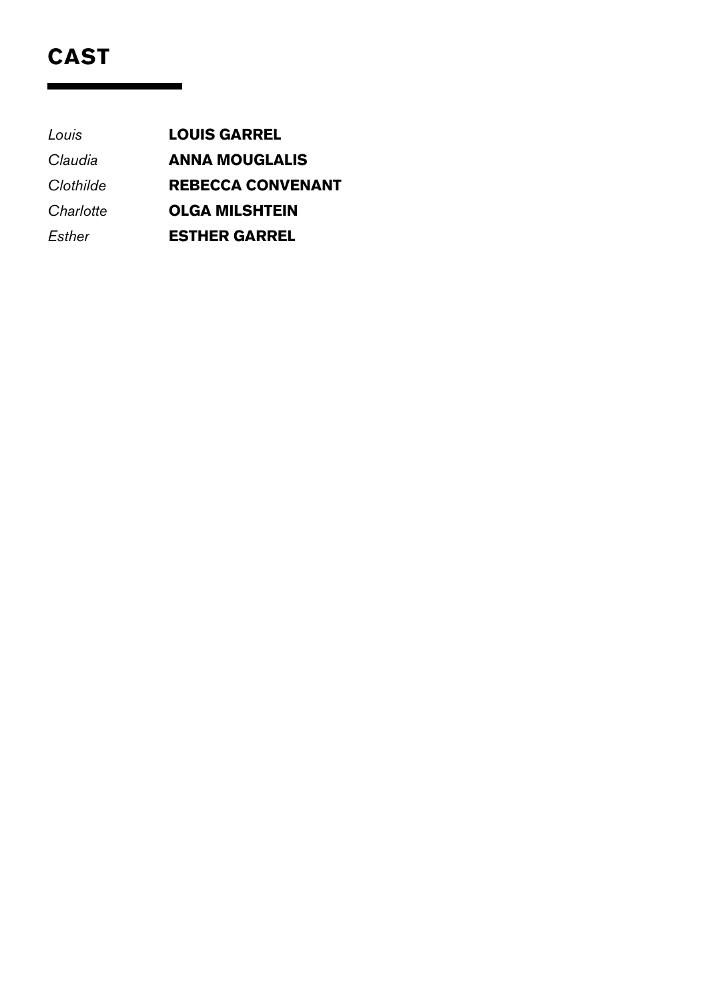# CAST

*Louis* Louis Garrel *Claudia* Anna Mouglalis *Clothilde* Rebecca Convenant **Charlotte OLGA MILSHTEIN** *Esther* Esther Garrel

Ē.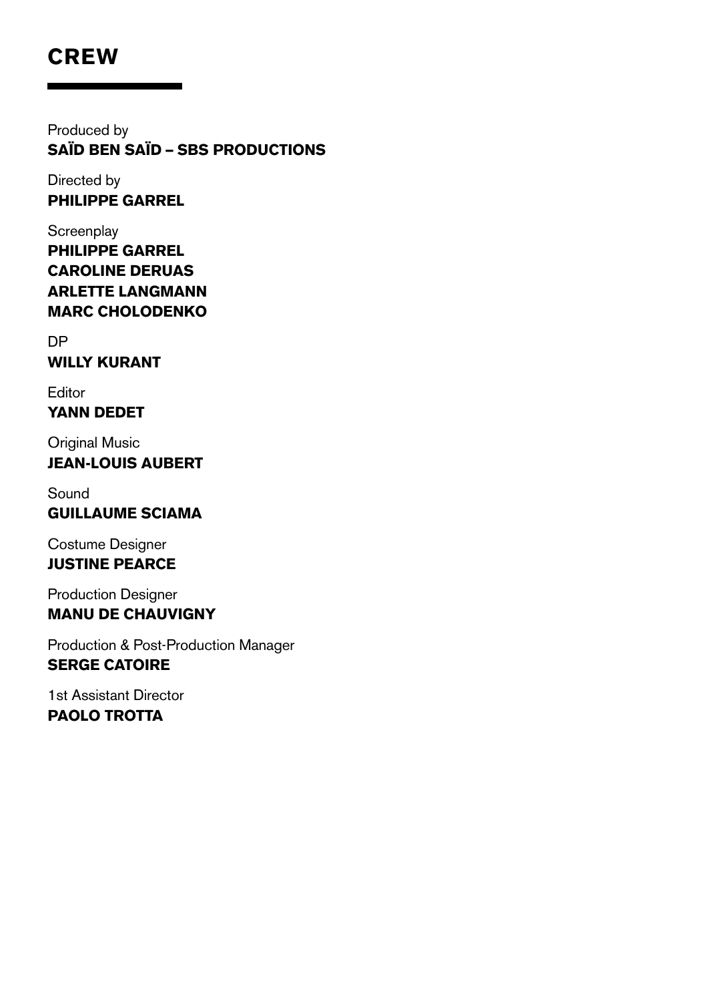# **CREW**

Produced by Saïd Ben Saïd – SBS Productions

Directed by Philippe Garrel

**Screenplay** Philippe Garrel Caroline Deruas Arlette Langmann Marc Cholodenko

DP Willy Kurant

Editor Yann Dedet

**Original Music** Jean-Louis Aubert

Sound Guillaume Sciama

Costume Designer Justine Pearce

Production Designer Manu de Chauvigny

Production & Post-Production Manager Serge Catoire

1st Assistant Director PAOLO TROTTA